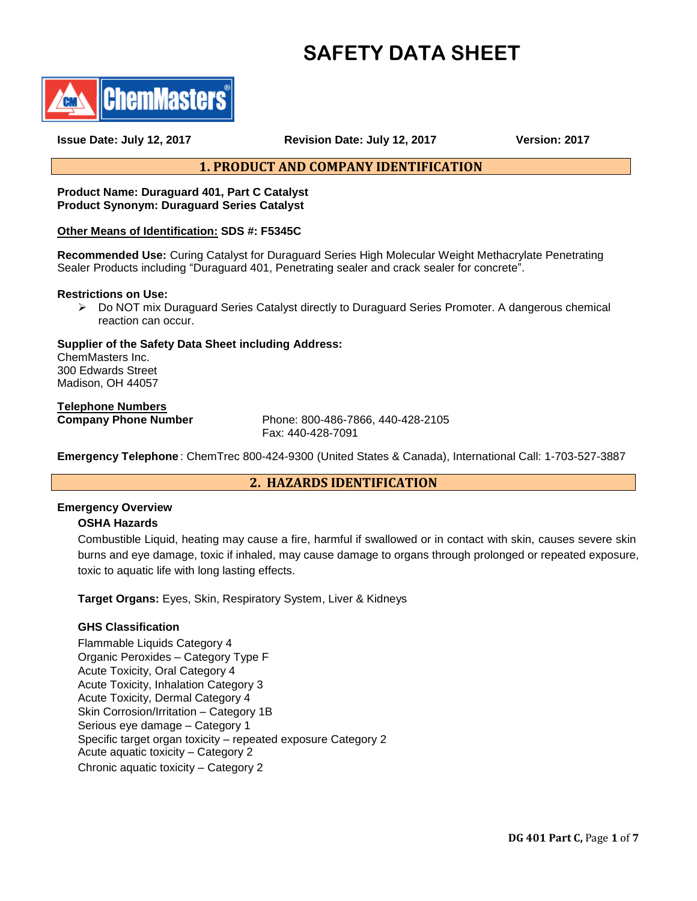# **SAFETY DATA SHEET**



**Issue Date: July 12, 2017 Revision Date: July 12, 2017 Version: 2017**

# **1. PRODUCT AND COMPANY IDENTIFICATION**

#### **Product Name: Duraguard 401, Part C Catalyst Product Synonym: Duraguard Series Catalyst**

## **Other Means of Identification: SDS #: F5345C**

**Recommended Use:** Curing Catalyst for Duraguard Series High Molecular Weight Methacrylate Penetrating Sealer Products including "Duraguard 401, Penetrating sealer and crack sealer for concrete".

#### **Restrictions on Use:**

 Do NOT mix Duraguard Series Catalyst directly to Duraguard Series Promoter. A dangerous chemical reaction can occur.

## **Supplier of the Safety Data Sheet including Address:**

ChemMasters Inc. 300 Edwards Street Madison, OH 44057

# **Telephone Numbers**

**Company Phone Number** Phone: 800-486-7866, 440-428-2105 Fax: 440-428-7091

**Emergency Telephone** : ChemTrec 800-424-9300 (United States & Canada), International Call: 1-703-527-3887

# **2. HAZARDS IDENTIFICATION**

# **Emergency Overview**

## **OSHA Hazards**

Combustible Liquid, heating may cause a fire, harmful if swallowed or in contact with skin, causes severe skin burns and eye damage, toxic if inhaled, may cause damage to organs through prolonged or repeated exposure, toxic to aquatic life with long lasting effects.

**Target Organs:** Eyes, Skin, Respiratory System, Liver & Kidneys

## **GHS Classification**

Flammable Liquids Category 4 Organic Peroxides – Category Type F Acute Toxicity, Oral Category 4 Acute Toxicity, Inhalation Category 3 Acute Toxicity, Dermal Category 4 Skin Corrosion/Irritation – Category 1B Serious eye damage – Category 1 Specific target organ toxicity – repeated exposure Category 2 Acute aquatic toxicity – Category 2 Chronic aquatic toxicity – Category 2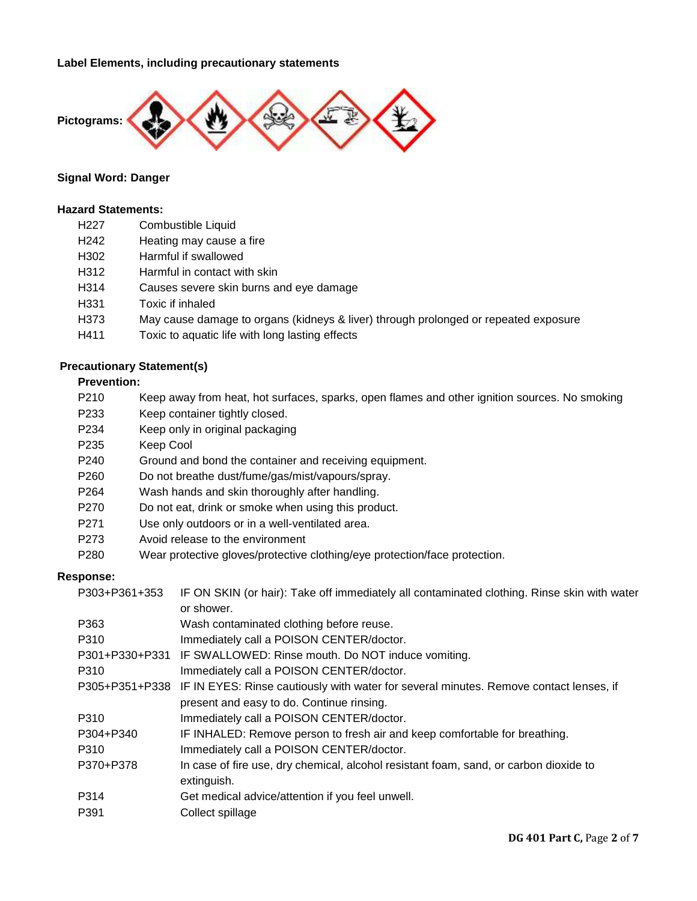**Label Elements, including precautionary statements** 



#### **Signal Word: Danger**

### **Hazard Statements:**

- H242 Heating may cause a fire
- H302 Harmful if swallowed
- H312 Harmful in contact with skin
- H314 Causes severe skin burns and eye damage
- H331 Toxic if inhaled
- H373 May cause damage to organs (kidneys & liver) through prolonged or repeated exposure
- H411 Toxic to aquatic life with long lasting effects

## **Precautionary Statement(s)**

# **Prevention:**

- P210 Keep away from heat, hot surfaces, sparks, open flames and other ignition sources. No smoking
- P233 Keep container tightly closed.
- P234 Keep only in original packaging
- P235 Keep Cool
- P240 Ground and bond the container and receiving equipment.
- P260 Do not breathe dust/fume/gas/mist/vapours/spray.
- P264 Wash hands and skin thoroughly after handling.
- P270 Do not eat, drink or smoke when using this product.
- P271 Use only outdoors or in a well-ventilated area.
- P273 Avoid release to the environment
- P280 Wear protective gloves/protective clothing/eye protection/face protection.

#### **Response:**

| P303+P361+353 | IF ON SKIN (or hair): Take off immediately all contaminated clothing. Rinse skin with water           |  |  |
|---------------|-------------------------------------------------------------------------------------------------------|--|--|
|               | or shower.                                                                                            |  |  |
| P363          | Wash contaminated clothing before reuse.                                                              |  |  |
| P310          | Immediately call a POISON CENTER/doctor.                                                              |  |  |
|               | P301+P330+P331 IF SWALLOWED: Rinse mouth. Do NOT induce vomiting.                                     |  |  |
| P310          | Immediately call a POISON CENTER/doctor.                                                              |  |  |
|               | P305+P351+P338 IF IN EYES: Rinse cautiously with water for several minutes. Remove contact lenses, if |  |  |
|               | present and easy to do. Continue rinsing.                                                             |  |  |
| P310          | Immediately call a POISON CENTER/doctor.                                                              |  |  |
| P304+P340     | IF INHALED: Remove person to fresh air and keep comfortable for breathing.                            |  |  |
| P310          | Immediately call a POISON CENTER/doctor.                                                              |  |  |
| P370+P378     | In case of fire use, dry chemical, alcohol resistant foam, sand, or carbon dioxide to                 |  |  |
|               | extinguish.                                                                                           |  |  |
| P314          | Get medical advice/attention if you feel unwell.                                                      |  |  |
| P391          | Collect spillage                                                                                      |  |  |
|               |                                                                                                       |  |  |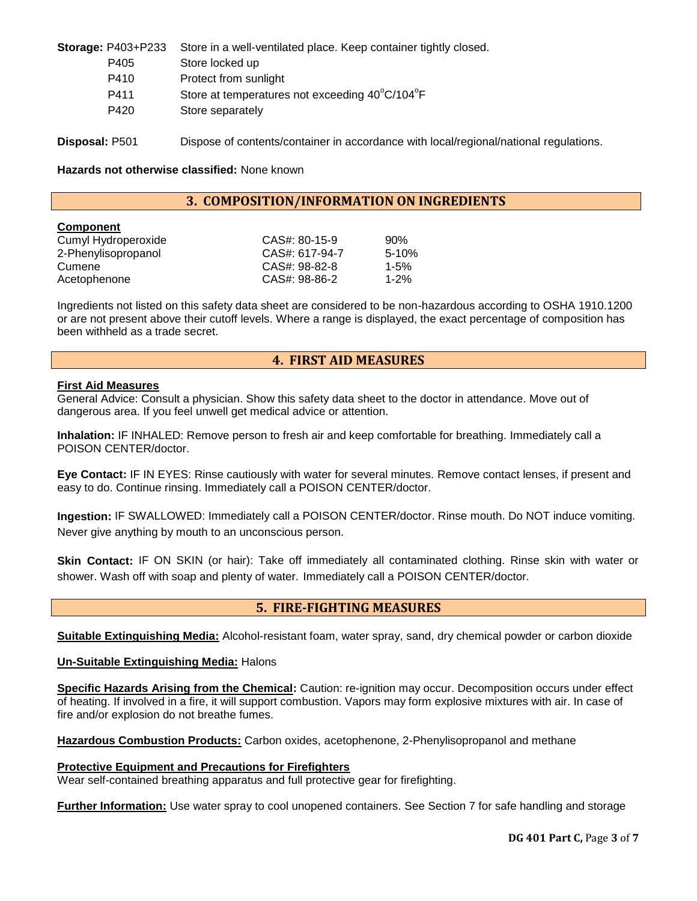| <b>Storage: P403+P233</b> | Store in a well-ventilated place. Keep container tightly closed.                      |
|---------------------------|---------------------------------------------------------------------------------------|
| P405                      | Store locked up                                                                       |
| P410                      | Protect from sunlight                                                                 |
| P411                      | Store at temperatures not exceeding 40°C/104°F                                        |
| P420                      | Store separately                                                                      |
| <b>Disposal: P501</b>     | Dispose of contents/container in accordance with local/regional/national regulations. |

**Hazards not otherwise classified:** None known

# **3. COMPOSITION/INFORMATION ON INGREDIENTS**

| <b>Component</b>    |                |           |
|---------------------|----------------|-----------|
| Cumyl Hydroperoxide | CAS#: 80-15-9  | 90%       |
| 2-Phenylisopropanol | CAS#: 617-94-7 | $5 - 10%$ |
| Cumene              | CAS#: 98-82-8  | $1 - 5%$  |
| Acetophenone        | CAS#: 98-86-2  | $1 - 2%$  |

Ingredients not listed on this safety data sheet are considered to be non-hazardous according to OSHA 1910.1200 or are not present above their cutoff levels. Where a range is displayed, the exact percentage of composition has been withheld as a trade secret.

## **4. FIRST AID MEASURES**

#### **First Aid Measures**

General Advice: Consult a physician. Show this safety data sheet to the doctor in attendance. Move out of dangerous area. If you feel unwell get medical advice or attention.

**Inhalation:** IF INHALED: Remove person to fresh air and keep comfortable for breathing. Immediately call a POISON CENTER/doctor.

**Eye Contact:** IF IN EYES: Rinse cautiously with water for several minutes. Remove contact lenses, if present and easy to do. Continue rinsing. Immediately call a POISON CENTER/doctor.

**Ingestion:** IF SWALLOWED: Immediately call a POISON CENTER/doctor. Rinse mouth. Do NOT induce vomiting. Never give anything by mouth to an unconscious person.

**Skin Contact:** IF ON SKIN (or hair): Take off immediately all contaminated clothing. Rinse skin with water or shower. Wash off with soap and plenty of water. Immediately call a POISON CENTER/doctor.

# **5. FIRE-FIGHTING MEASURES**

**Suitable Extinguishing Media:** Alcohol-resistant foam, water spray, sand, dry chemical powder or carbon dioxide

#### **Un-Suitable Extinguishing Media:** Halons

**Specific Hazards Arising from the Chemical:** Caution: re-ignition may occur. Decomposition occurs under effect of heating. If involved in a fire, it will support combustion. Vapors may form explosive mixtures with air. In case of fire and/or explosion do not breathe fumes.

**Hazardous Combustion Products:** Carbon oxides, acetophenone, 2-Phenylisopropanol and methane

#### **Protective Equipment and Precautions for Firefighters**

Wear self-contained breathing apparatus and full protective gear for firefighting.

**Further Information:** Use water spray to cool unopened containers. See Section 7 for safe handling and storage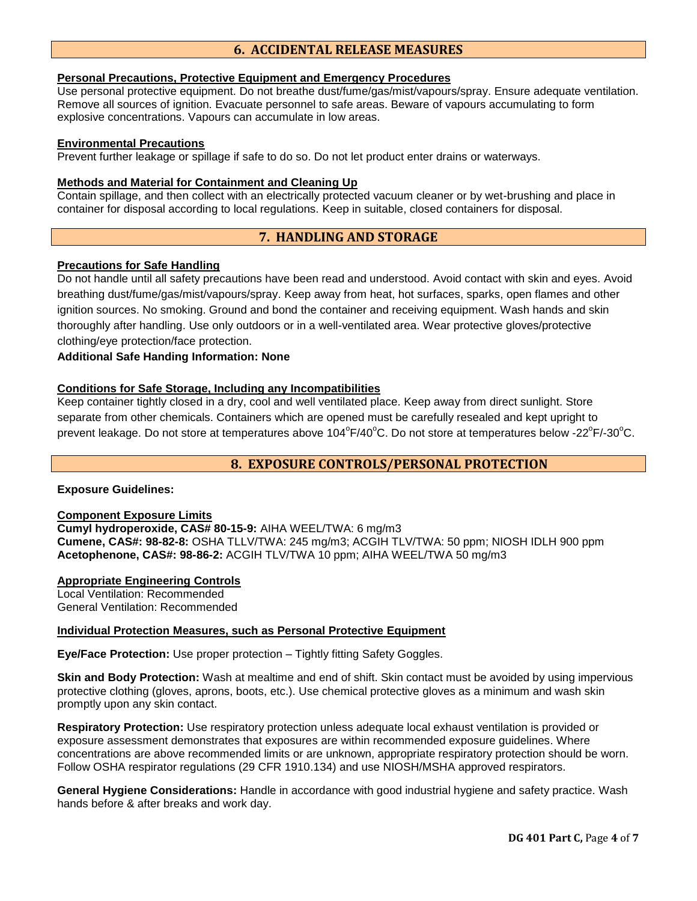# **6. ACCIDENTAL RELEASE MEASURES**

#### **Personal Precautions, Protective Equipment and Emergency Procedures**

Use personal protective equipment. Do not breathe dust/fume/gas/mist/vapours/spray. Ensure adequate ventilation. Remove all sources of ignition. Evacuate personnel to safe areas. Beware of vapours accumulating to form explosive concentrations. Vapours can accumulate in low areas.

### **Environmental Precautions**

Prevent further leakage or spillage if safe to do so. Do not let product enter drains or waterways.

#### **Methods and Material for Containment and Cleaning Up**

Contain spillage, and then collect with an electrically protected vacuum cleaner or by wet-brushing and place in container for disposal according to local regulations. Keep in suitable, closed containers for disposal.

# **7. HANDLING AND STORAGE**

#### **Precautions for Safe Handling**

Do not handle until all safety precautions have been read and understood. Avoid contact with skin and eyes. Avoid breathing dust/fume/gas/mist/vapours/spray. Keep away from heat, hot surfaces, sparks, open flames and other ignition sources. No smoking. Ground and bond the container and receiving equipment. Wash hands and skin thoroughly after handling. Use only outdoors or in a well-ventilated area. Wear protective gloves/protective clothing/eye protection/face protection.

## **Additional Safe Handing Information: None**

#### **Conditions for Safe Storage, Including any Incompatibilities**

Keep container tightly closed in a dry, cool and well ventilated place. Keep away from direct sunlight. Store separate from other chemicals. Containers which are opened must be carefully resealed and kept upright to prevent leakage. Do not store at temperatures above 104 $\rm{^oF/40^oC}$ . Do not store at temperatures below -22 $\rm{^oF/}\text{-}30^oC$ .

# **8. EXPOSURE CONTROLS/PERSONAL PROTECTION**

## **Exposure Guidelines:**

#### **Component Exposure Limits**

**Cumyl hydroperoxide, CAS# 80-15-9:** AIHA WEEL/TWA: 6 mg/m3 **Cumene, CAS#: 98-82-8:** OSHA TLLV/TWA: 245 mg/m3; ACGIH TLV/TWA: 50 ppm; NIOSH IDLH 900 ppm **Acetophenone, CAS#: 98-86-2:** ACGIH TLV/TWA 10 ppm; AIHA WEEL/TWA 50 mg/m3

#### **Appropriate Engineering Controls**

Local Ventilation: Recommended General Ventilation: Recommended

#### **Individual Protection Measures, such as Personal Protective Equipment**

**Eye/Face Protection:** Use proper protection – Tightly fitting Safety Goggles.

**Skin and Body Protection:** Wash at mealtime and end of shift. Skin contact must be avoided by using impervious protective clothing (gloves, aprons, boots, etc.). Use chemical protective gloves as a minimum and wash skin promptly upon any skin contact.

**Respiratory Protection:** Use respiratory protection unless adequate local exhaust ventilation is provided or exposure assessment demonstrates that exposures are within recommended exposure guidelines. Where concentrations are above recommended limits or are unknown, appropriate respiratory protection should be worn. Follow OSHA respirator regulations (29 CFR 1910.134) and use NIOSH/MSHA approved respirators.

**General Hygiene Considerations:** Handle in accordance with good industrial hygiene and safety practice. Wash hands before & after breaks and work day.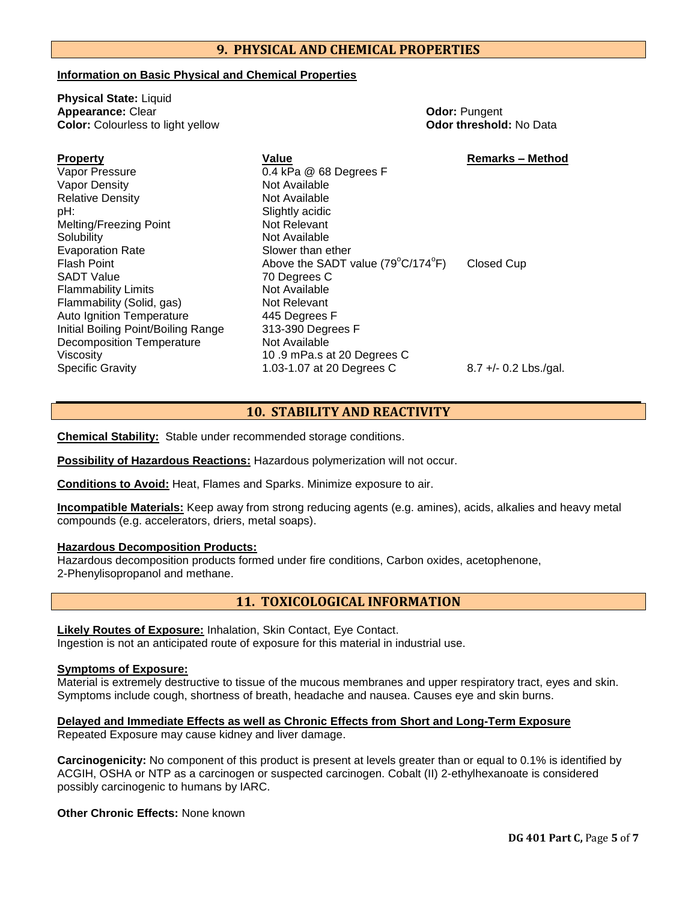# **9. PHYSICAL AND CHEMICAL PROPERTIES**

0.4 kPa @ 68 Degrees F

#### **Information on Basic Physical and Chemical Properties**

**Physical State:** Liquid **Appearance:** Clear **Clear** *Color:* **Pungent Color:** Pungent **Color:** Color: Pungent **Color:** Colourless to light yellow **Color:** Colourless to light yellow

**Property Value Remarks – Method**

| ΓΙΟΡΘΙΙΥ                            |
|-------------------------------------|
| Vapor Pressure                      |
| <b>Vapor Density</b>                |
| <b>Relative Density</b>             |
| pH:                                 |
| Melting/Freezing Point              |
| Solubility                          |
| <b>Evaporation Rate</b>             |
| Flash Point                         |
| <b>SADT Value</b>                   |
| <b>Flammability Limits</b>          |
| Flammability (Solid, gas)           |
| <b>Auto Ignition Temperature</b>    |
| Initial Boiling Point/Boiling Range |
| <b>Decomposition Temperature</b>    |
| Viscosity                           |
| <b>Specific Gravity</b>             |

Not Available **Not Available** Slightly acidic Not Relevant Not Available Slower than ether Above the SADT value ( $79^{\circ}$ C/174 $^{\circ}$ F) Closed Cup 70 Degrees C Not Available **Not Relevant** 445 Dearees F 313-390 Degrees F **Not Available** 10 .9 mPa.s at 20 Degrees C 1.03-1.07 at 20 Degrees C 8.7 +/- 0.2 Lbs./gal.

## **10. STABILITY AND REACTIVITY**

**Chemical Stability:** Stable under recommended storage conditions.

**Possibility of Hazardous Reactions:** Hazardous polymerization will not occur.

**Conditions to Avoid:** Heat, Flames and Sparks. Minimize exposure to air.

**Incompatible Materials:** Keep away from strong reducing agents (e.g. amines), acids, alkalies and heavy metal compounds (e.g. accelerators, driers, metal soaps).

### **Hazardous Decomposition Products:**

Hazardous decomposition products formed under fire conditions, Carbon oxides, acetophenone, 2-Phenylisopropanol and methane.

# **11. TOXICOLOGICAL INFORMATION**

**Likely Routes of Exposure:** Inhalation, Skin Contact, Eye Contact. Ingestion is not an anticipated route of exposure for this material in industrial use.

#### **Symptoms of Exposure:**

Material is extremely destructive to tissue of the mucous membranes and upper respiratory tract, eyes and skin. Symptoms include cough, shortness of breath, headache and nausea. Causes eye and skin burns.

**Delayed and Immediate Effects as well as Chronic Effects from Short and Long-Term Exposure**

Repeated Exposure may cause kidney and liver damage.

**Carcinogenicity:** No component of this product is present at levels greater than or equal to 0.1% is identified by ACGIH, OSHA or NTP as a carcinogen or suspected carcinogen. Cobalt (II) 2-ethylhexanoate is considered possibly carcinogenic to humans by IARC.

**Other Chronic Effects:** None known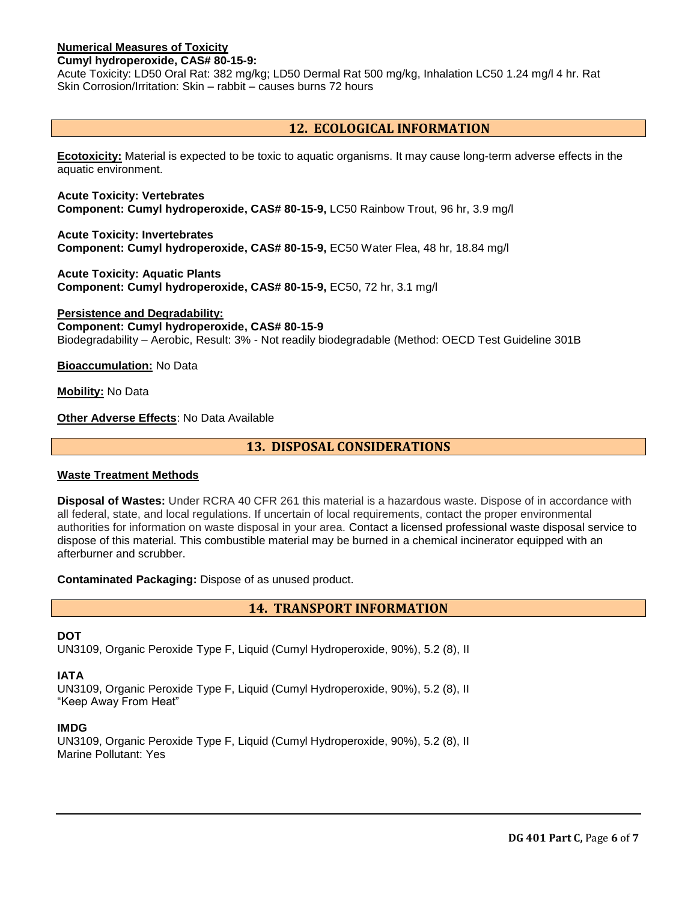## **Numerical Measures of Toxicity**

#### **Cumyl hydroperoxide, CAS# 80-15-9:**

Acute Toxicity: LD50 Oral Rat: 382 mg/kg; LD50 Dermal Rat 500 mg/kg, Inhalation LC50 1.24 mg/l 4 hr. Rat Skin Corrosion/Irritation: Skin – rabbit – causes burns 72 hours

# **12. ECOLOGICAL INFORMATION**

**Ecotoxicity:** Material is expected to be toxic to aquatic organisms. It may cause long-term adverse effects in the aquatic environment.

**Acute Toxicity: Vertebrates Component: Cumyl hydroperoxide, CAS# 80-15-9,** LC50 Rainbow Trout, 96 hr, 3.9 mg/l

**Acute Toxicity: Invertebrates Component: Cumyl hydroperoxide, CAS# 80-15-9,** EC50 Water Flea, 48 hr, 18.84 mg/l

**Acute Toxicity: Aquatic Plants Component: Cumyl hydroperoxide, CAS# 80-15-9,** EC50, 72 hr, 3.1 mg/l

**Persistence and Degradability: Component: Cumyl hydroperoxide, CAS# 80-15-9** Biodegradability – Aerobic, Result: 3% - Not readily biodegradable (Method: OECD Test Guideline 301B

**Bioaccumulation:** No Data

**Mobility:** No Data

**Other Adverse Effects**: No Data Available

**13. DISPOSAL CONSIDERATIONS**

#### **Waste Treatment Methods**

**Disposal of Wastes:** Under RCRA 40 CFR 261 this material is a hazardous waste. Dispose of in accordance with all federal, state, and local regulations. If uncertain of local requirements, contact the proper environmental authorities for information on waste disposal in your area. Contact a licensed professional waste disposal service to dispose of this material. This combustible material may be burned in a chemical incinerator equipped with an afterburner and scrubber.

**Contaminated Packaging:** Dispose of as unused product.

**14. TRANSPORT INFORMATION**

#### **DOT**

UN3109, Organic Peroxide Type F, Liquid (Cumyl Hydroperoxide, 90%), 5.2 (8), II

#### **IATA**

UN3109, Organic Peroxide Type F, Liquid (Cumyl Hydroperoxide, 90%), 5.2 (8), II "Keep Away From Heat"

#### **IMDG**

UN3109, Organic Peroxide Type F, Liquid (Cumyl Hydroperoxide, 90%), 5.2 (8), II Marine Pollutant: Yes